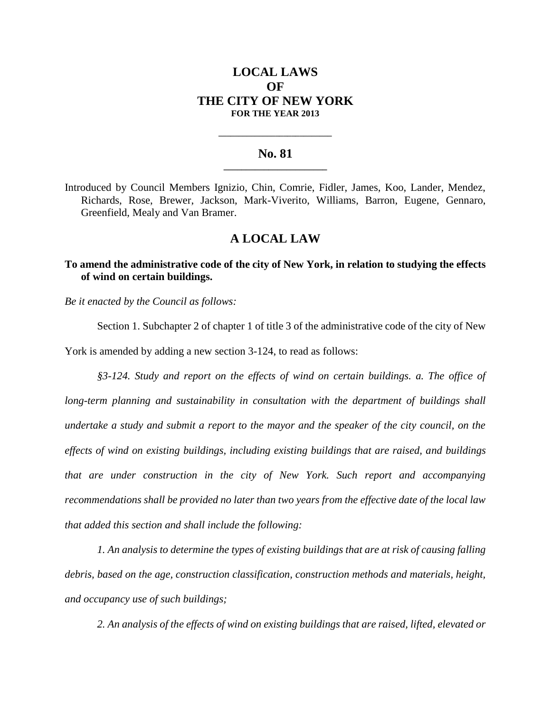# **LOCAL LAWS OF THE CITY OF NEW YORK FOR THE YEAR 2013**

### **No. 81 \_\_\_\_\_\_\_\_\_\_\_\_\_\_\_\_\_\_\_\_\_\_\_**

**\_\_\_\_\_\_\_\_\_\_\_\_\_\_\_\_\_\_\_\_\_\_\_\_\_\_\_\_**

Introduced by Council Members Ignizio, Chin, Comrie, Fidler, James, Koo, Lander, Mendez, Richards, Rose, Brewer, Jackson, Mark-Viverito, Williams, Barron, Eugene, Gennaro, Greenfield, Mealy and Van Bramer.

# **A LOCAL LAW**

### **To amend the administrative code of the city of New York, in relation to studying the effects of wind on certain buildings.**

*Be it enacted by the Council as follows:*

Section 1. Subchapter 2 of chapter 1 of title 3 of the administrative code of the city of New York is amended by adding a new section 3-124, to read as follows:

*§3-124. Study and report on the effects of wind on certain buildings. a. The office of long-term planning and sustainability in consultation with the department of buildings shall undertake a study and submit a report to the mayor and the speaker of the city council, on the effects of wind on existing buildings, including existing buildings that are raised, and buildings that are under construction in the city of New York. Such report and accompanying recommendations shall be provided no later than two years from the effective date of the local law that added this section and shall include the following:*

*1. An analysis to determine the types of existing buildings that are at risk of causing falling debris, based on the age, construction classification, construction methods and materials, height, and occupancy use of such buildings;* 

*2. An analysis of the effects of wind on existing buildings that are raised, lifted, elevated or*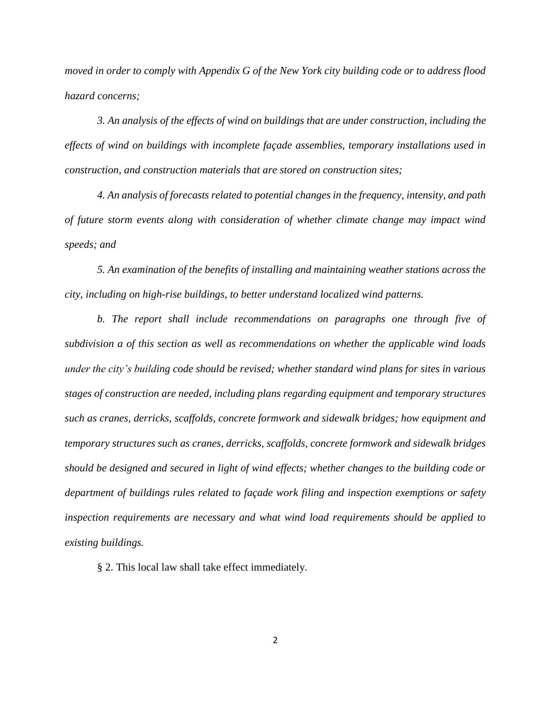*moved in order to comply with Appendix G of the New York city building code or to address flood hazard concerns;*

*3. An analysis of the effects of wind on buildings that are under construction, including the effects of wind on buildings with incomplete façade assemblies, temporary installations used in construction, and construction materials that are stored on construction sites;* 

*4. An analysis of forecasts related to potential changes in the frequency, intensity, and path of future storm events along with consideration of whether climate change may impact wind speeds; and* 

*5. An examination of the benefits of installing and maintaining weather stations across the city, including on high-rise buildings, to better understand localized wind patterns.* 

*b. The report shall include recommendations on paragraphs one through five of subdivision a of this section as well as recommendations on whether the applicable wind loads under the city's building code should be revised; whether standard wind plans for sites in various stages of construction are needed, including plans regarding equipment and temporary structures such as cranes, derricks, scaffolds, concrete formwork and sidewalk bridges; how equipment and temporary structures such as cranes, derricks, scaffolds, concrete formwork and sidewalk bridges should be designed and secured in light of wind effects; whether changes to the building code or department of buildings rules related to façade work filing and inspection exemptions or safety inspection requirements are necessary and what wind load requirements should be applied to existing buildings.*

§ 2. This local law shall take effect immediately.